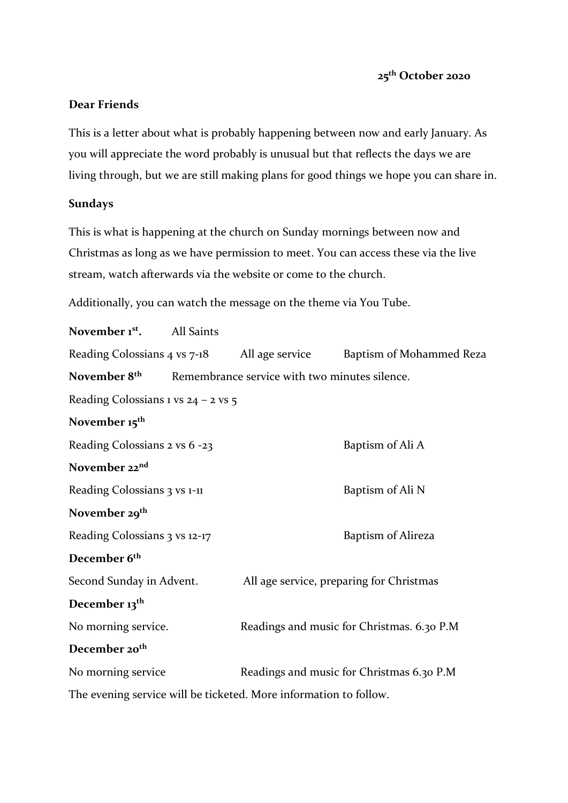## **Dear Friends**

This is a letter about what is probably happening between now and early January. As you will appreciate the word probably is unusual but that reflects the days we are living through, but we are still making plans for good things we hope you can share in.

## **Sundays**

This is what is happening at the church on Sunday mornings between now and Christmas as long as we have permission to meet. You can access these via the live stream, watch afterwards via the website or come to the church.

Additionally, you can watch the message on the theme via You Tube.

| November 1 <sup>st</sup> .            | All Saints |                                                                   |                                            |  |
|---------------------------------------|------------|-------------------------------------------------------------------|--------------------------------------------|--|
| Reading Colossians 4 vs 7-18          |            | All age service                                                   | Baptism of Mohammed Reza                   |  |
| November 8 <sup>th</sup>              |            | Remembrance service with two minutes silence.                     |                                            |  |
| Reading Colossians 1 vs $24 - 2$ vs 5 |            |                                                                   |                                            |  |
| November 15 <sup>th</sup>             |            |                                                                   |                                            |  |
| Reading Colossians 2 vs 6 -23         |            |                                                                   | Baptism of Ali A                           |  |
| November 22nd                         |            |                                                                   |                                            |  |
| Reading Colossians 3 vs 1-11          |            |                                                                   | Baptism of Ali N                           |  |
| November 29 <sup>th</sup>             |            |                                                                   |                                            |  |
| Reading Colossians 3 vs 12-17         |            |                                                                   | Baptism of Alireza                         |  |
| December 6 <sup>th</sup>              |            |                                                                   |                                            |  |
| Second Sunday in Advent.              |            |                                                                   | All age service, preparing for Christmas   |  |
| December 13 <sup>th</sup>             |            |                                                                   |                                            |  |
| No morning service.                   |            |                                                                   | Readings and music for Christmas. 6.30 P.M |  |
| December 20 <sup>th</sup>             |            |                                                                   |                                            |  |
| No morning service                    |            |                                                                   | Readings and music for Christmas 6.30 P.M  |  |
|                                       |            | The evening service will be ticketed. More information to follow. |                                            |  |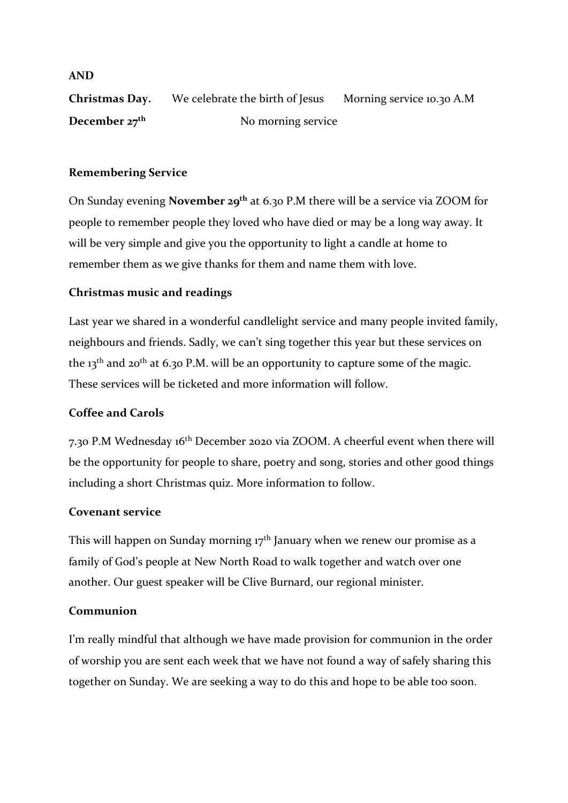**Christmas Day.** We celebrate the birth of Jesus Morning service 10.30 A.M **December 27<sup>th</sup>** No morning service

# **Remembering Service**

On Sunday evening **November 29th** at 6.30 P.M there will be a service via ZOOM for people to remember people they loved who have died or may be a long way away. It will be very simple and give you the opportunity to light a candle at home to remember them as we give thanks for them and name them with love.

# **Christmas music and readings**

Last year we shared in a wonderful candlelight service and many people invited family, neighbours and friends. Sadly, we can't sing together this year but these services on the 13<sup>th</sup> and 20<sup>th</sup> at 6.30 P.M. will be an opportunity to capture some of the magic. These services will be ticketed and more information will follow.

## **Coffee and Carols**

7.30 P.M Wednesday 16th December 2020 via ZOOM. A cheerful event when there will be the opportunity for people to share, poetry and song, stories and other good things including a short Christmas quiz. More information to follow.

## **Covenant service**

This will happen on Sunday morning  $17<sup>th</sup>$  January when we renew our promise as a family of God's people at New North Road to walk together and watch over one another. Our guest speaker will be Clive Burnard, our regional minister.

## **Communion**

I'm really mindful that although we have made provision for communion in the order of worship you are sent each week that we have not found a way of safely sharing this together on Sunday. We are seeking a way to do this and hope to be able too soon.

### **AND**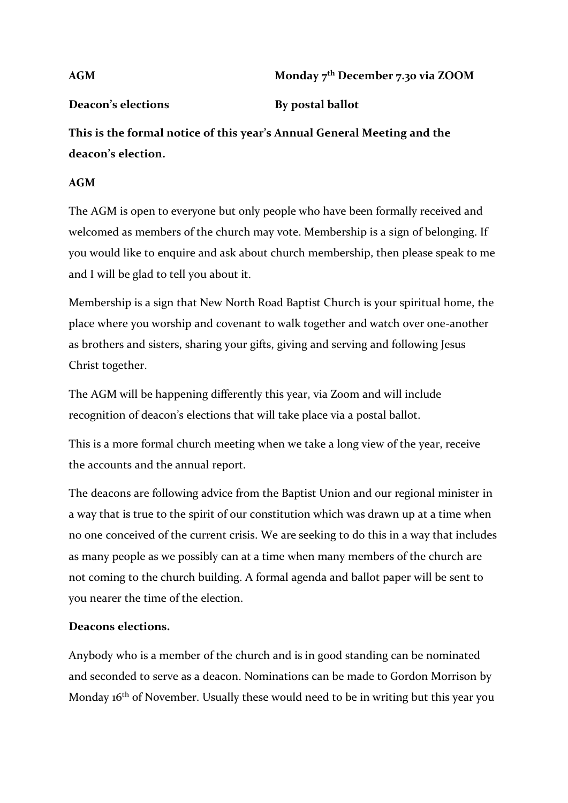# **AGM Monday 7th December 7.30 via ZOOM**

# **Deacon's elections By postal ballot**

**This is the formal notice of this year's Annual General Meeting and the deacon's election.** 

# **AGM**

The AGM is open to everyone but only people who have been formally received and welcomed as members of the church may vote. Membership is a sign of belonging. If you would like to enquire and ask about church membership, then please speak to me and I will be glad to tell you about it.

Membership is a sign that New North Road Baptist Church is your spiritual home, the place where you worship and covenant to walk together and watch over one-another as brothers and sisters, sharing your gifts, giving and serving and following Jesus Christ together.

The AGM will be happening differently this year, via Zoom and will include recognition of deacon's elections that will take place via a postal ballot.

This is a more formal church meeting when we take a long view of the year, receive the accounts and the annual report.

The deacons are following advice from the Baptist Union and our regional minister in a way that is true to the spirit of our constitution which was drawn up at a time when no one conceived of the current crisis. We are seeking to do this in a way that includes as many people as we possibly can at a time when many members of the church are not coming to the church building. A formal agenda and ballot paper will be sent to you nearer the time of the election.

# **Deacons elections.**

Anybody who is a member of the church and is in good standing can be nominated and seconded to serve as a deacon. Nominations can be made to Gordon Morrison by Monday 16<sup>th</sup> of November. Usually these would need to be in writing but this year you